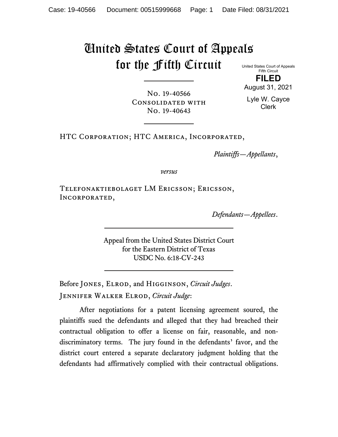# United States Court of Appeals for the Fifth Circuit

No. 19-40643

United States Court of Appeals Fifth Circuit **FILED**

No. 19-40566 Consolidated with

Lyle W. Cayce

August 31, 2021

HTC Corporation; HTC America, Incorporated,

*Plaintiffs—Appellants*,

*versus*

Telefonaktiebolaget LM Ericsson; Ericsson, Incorporated,

*Defendants—Appellees*.

Appeal from the United States District Court for the Eastern District of Texas USDC No. 6:18-CV-243

Before Jones, Elrod, and Higginson, *Circuit Judges*. Jennifer Walker Elrod, *Circuit Judge*:

After negotiations for a patent licensing agreement soured, the plaintiffs sued the defendants and alleged that they had breached their contractual obligation to offer a license on fair, reasonable, and nondiscriminatory terms. The jury found in the defendants' favor, and the district court entered a separate declaratory judgment holding that the defendants had affirmatively complied with their contractual obligations.

Clerk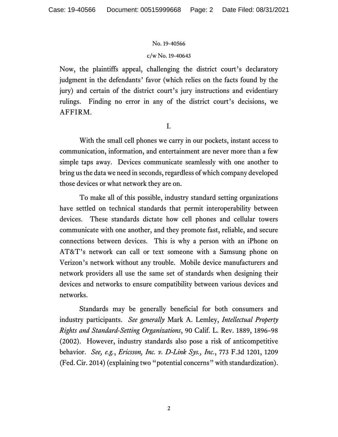### c/w No. 19-40643

Now, the plaintiffs appeal, challenging the district court's declaratory judgment in the defendants' favor (which relies on the facts found by the jury) and certain of the district court's jury instructions and evidentiary rulings. Finding no error in any of the district court's decisions, we AFFIRM.

I.

With the small cell phones we carry in our pockets, instant access to communication, information, and entertainment are never more than a few simple taps away. Devices communicate seamlessly with one another to bring us the data we need in seconds, regardless of which company developed those devices or what network they are on.

To make all of this possible, industry standard setting organizations have settled on technical standards that permit interoperability between devices. These standards dictate how cell phones and cellular towers communicate with one another, and they promote fast, reliable, and secure connections between devices. This is why a person with an iPhone on AT&T's network can call or text someone with a Samsung phone on Verizon's network without any trouble. Mobile device manufacturers and network providers all use the same set of standards when designing their devices and networks to ensure compatibility between various devices and networks.

Standards may be generally beneficial for both consumers and industry participants. *See generally* Mark A. Lemley, *Intellectual Property Rights and Standard-Setting Organizations*, 90 Calif. L. Rev. 1889, 1896–98 (2002). However, industry standards also pose a risk of anticompetitive behavior. *See, e.g.*, *Ericsson, Inc. v. D-Link Sys., Inc.*, 773 F.3d 1201, 1209 (Fed. Cir. 2014) (explaining two "potential concerns" with standardization).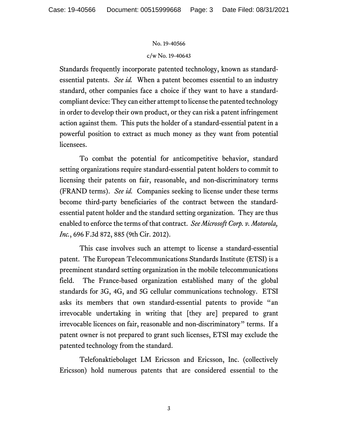#### c/w No. 19-40643

Standards frequently incorporate patented technology, known as standardessential patents. *See id.* When a patent becomes essential to an industry standard, other companies face a choice if they want to have a standardcompliant device: They can either attempt to license the patented technology in order to develop their own product, or they can risk a patent infringement action against them. This puts the holder of a standard-essential patent in a powerful position to extract as much money as they want from potential licensees.

To combat the potential for anticompetitive behavior, standard setting organizations require standard-essential patent holders to commit to licensing their patents on fair, reasonable, and non-discriminatory terms (FRAND terms). *See id.* Companies seeking to license under these terms become third-party beneficiaries of the contract between the standardessential patent holder and the standard setting organization. They are thus enabled to enforce the terms of that contract. *See Microsoft Corp. v. Motorola, Inc.*, 696 F.3d 872, 885 (9th Cir. 2012).

This case involves such an attempt to license a standard-essential patent. The European Telecommunications Standards Institute (ETSI) is a preeminent standard setting organization in the mobile telecommunications field. The France-based organization established many of the global standards for 3G, 4G, and 5G cellular communications technology. ETSI asks its members that own standard-essential patents to provide "an irrevocable undertaking in writing that [they are] prepared to grant irrevocable licences on fair, reasonable and non-discriminatory" terms. If a patent owner is not prepared to grant such licenses, ETSI may exclude the patented technology from the standard.

Telefonaktiebolaget LM Ericsson and Ericsson, Inc. (collectively Ericsson) hold numerous patents that are considered essential to the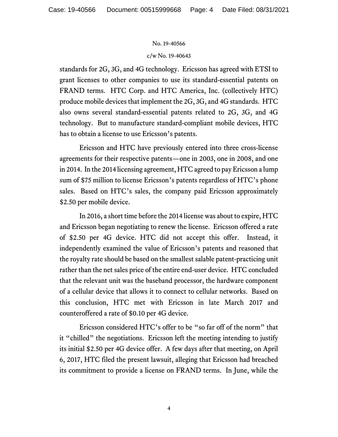#### c/w No. 19-40643

standards for 2G, 3G, and 4G technology. Ericsson has agreed with ETSI to grant licenses to other companies to use its standard-essential patents on FRAND terms. HTC Corp. and HTC America, Inc. (collectively HTC) produce mobile devices that implement the 2G, 3G, and 4G standards. HTC also owns several standard-essential patents related to 2G, 3G, and 4G technology. But to manufacture standard-compliant mobile devices, HTC has to obtain a license to use Ericsson's patents.

Ericsson and HTC have previously entered into three cross-license agreements for their respective patents—one in 2003, one in 2008, and one in 2014. In the 2014 licensing agreement, HTC agreed to pay Ericsson a lump sum of \$75 million to license Ericsson's patents regardless of HTC's phone sales. Based on HTC's sales, the company paid Ericsson approximately \$2.50 per mobile device.

In 2016, a short time before the 2014 license was about to expire, HTC and Ericsson began negotiating to renew the license. Ericsson offered a rate of \$2.50 per 4G device. HTC did not accept this offer. Instead, it independently examined the value of Ericsson's patents and reasoned that the royalty rate should be based on the smallest salable patent-practicing unit rather than the net sales price of the entire end-user device. HTC concluded that the relevant unit was the baseband processor, the hardware component of a cellular device that allows it to connect to cellular networks. Based on this conclusion, HTC met with Ericsson in late March 2017 and counteroffered a rate of \$0.10 per 4G device.

Ericsson considered HTC's offer to be "so far off of the norm" that it "chilled" the negotiations. Ericsson left the meeting intending to justify its initial \$2.50 per 4G device offer. A few days after that meeting, on April 6, 2017, HTC filed the present lawsuit, alleging that Ericsson had breached its commitment to provide a license on FRAND terms. In June, while the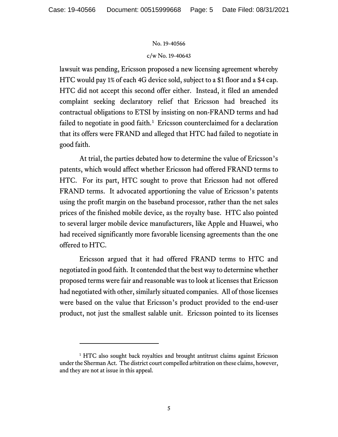#### c/w No. 19-40643

lawsuit was pending, Ericsson proposed a new licensing agreement whereby HTC would pay 1% of each 4G device sold, subject to a \$1 floor and a \$4 cap. HTC did not accept this second offer either. Instead, it filed an amended complaint seeking declaratory relief that Ericsson had breached its contractual obligations to ETSI by insisting on non-FRAND terms and had failed to negotiate in good faith.<sup>[1](#page-28-0)</sup> Ericsson counterclaimed for a declaration that its offers were FRAND and alleged that HTC had failed to negotiate in good faith.

At trial, the parties debated how to determine the value of Ericsson's patents, which would affect whether Ericsson had offered FRAND terms to HTC. For its part, HTC sought to prove that Ericsson had not offered FRAND terms. It advocated apportioning the value of Ericsson's patents using the profit margin on the baseband processor, rather than the net sales prices of the finished mobile device, as the royalty base. HTC also pointed to several larger mobile device manufacturers, like Apple and Huawei, who had received significantly more favorable licensing agreements than the one offered to HTC.

Ericsson argued that it had offered FRAND terms to HTC and negotiated in good faith. It contended that the best way to determine whether proposed terms were fair and reasonable was to look at licenses that Ericsson had negotiated with other, similarly situated companies. All of those licenses were based on the value that Ericsson's product provided to the end-user product, not just the smallest salable unit. Ericsson pointed to its licenses

<sup>&</sup>lt;sup>1</sup> HTC also sought back royalties and brought antitrust claims against Ericsson under the Sherman Act. The district court compelled arbitration on these claims, however, and they are not at issue in this appeal.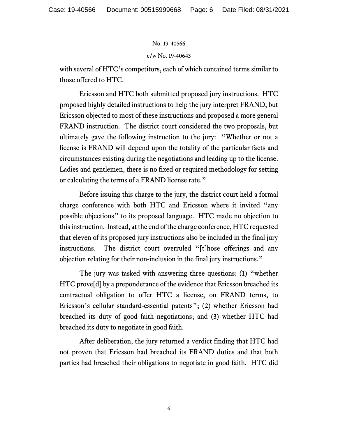#### c/w No. 19-40643

with several of HTC's competitors, each of which contained terms similar to those offered to HTC.

Ericsson and HTC both submitted proposed jury instructions. HTC proposed highly detailed instructions to help the jury interpret FRAND, but Ericsson objected to most of these instructions and proposed a more general FRAND instruction. The district court considered the two proposals, but ultimately gave the following instruction to the jury: "Whether or not a license is FRAND will depend upon the totality of the particular facts and circumstances existing during the negotiations and leading up to the license. Ladies and gentlemen, there is no fixed or required methodology for setting or calculating the terms of a FRAND license rate."

Before issuing this charge to the jury, the district court held a formal charge conference with both HTC and Ericsson where it invited "any possible objections" to its proposed language. HTC made no objection to this instruction. Instead, at the end of the charge conference, HTC requested that eleven of its proposed jury instructions also be included in the final jury instructions. The district court overruled "[t]hose offerings and any objection relating for their non-inclusion in the final jury instructions."

The jury was tasked with answering three questions: (1) "whether HTC prove[d] by a preponderance of the evidence that Ericsson breached its contractual obligation to offer HTC a license, on FRAND terms, to Ericsson's cellular standard-essential patents"; (2) whether Ericsson had breached its duty of good faith negotiations; and (3) whether HTC had breached its duty to negotiate in good faith.

After deliberation, the jury returned a verdict finding that HTC had not proven that Ericsson had breached its FRAND duties and that both parties had breached their obligations to negotiate in good faith. HTC did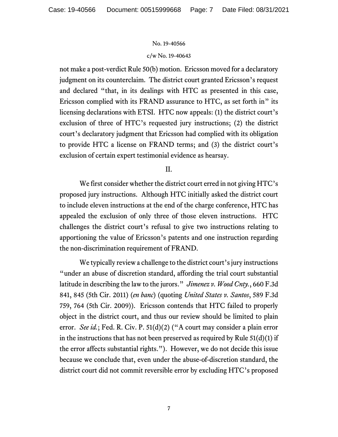#### c/w No. 19-40643

not make a post-verdict Rule 50(b) motion. Ericsson moved for a declaratory judgment on its counterclaim. The district court granted Ericsson's request and declared "that, in its dealings with HTC as presented in this case, Ericsson complied with its FRAND assurance to HTC, as set forth in" its licensing declarations with ETSI. HTC now appeals: (1) the district court's exclusion of three of HTC's requested jury instructions; (2) the district court's declaratory judgment that Ericsson had complied with its obligation to provide HTC a license on FRAND terms; and (3) the district court's exclusion of certain expert testimonial evidence as hearsay.

II.

We first consider whether the district court erred in not giving HTC's proposed jury instructions. Although HTC initially asked the district court to include eleven instructions at the end of the charge conference, HTC has appealed the exclusion of only three of those eleven instructions. HTC challenges the district court's refusal to give two instructions relating to apportioning the value of Ericsson's patents and one instruction regarding the non-discrimination requirement of FRAND.

We typically review a challenge to the district court's jury instructions "under an abuse of discretion standard, affording the trial court substantial latitude in describing the law to the jurors." *Jimenez v. Wood Cnty.*, 660 F.3d 841, 845 (5th Cir. 2011) (*en banc*) (quoting *United States v. Santos*, 589 F.3d 759, 764 (5th Cir. 2009)). Ericsson contends that HTC failed to properly object in the district court, and thus our review should be limited to plain error. *See id.*; Fed. R. Civ. P. 51(d)(2) ("A court may consider a plain error in the instructions that has not been preserved as required by Rule  $51(d)(1)$  if the error affects substantial rights."). However, we do not decide this issue because we conclude that, even under the abuse-of-discretion standard, the district court did not commit reversible error by excluding HTC's proposed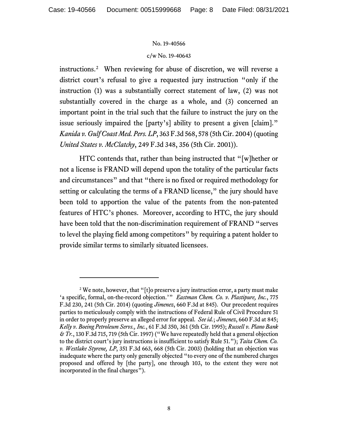#### c/w No. 19-40643

instructions.[2](#page-28-0) When reviewing for abuse of discretion, we will reverse a district court's refusal to give a requested jury instruction "only if the instruction (1) was a substantially correct statement of law, (2) was not substantially covered in the charge as a whole, and (3) concerned an important point in the trial such that the failure to instruct the jury on the issue seriously impaired the [party's] ability to present a given [claim]." *Kanida v. Gulf Coast Med. Pers. LP*, 363 F.3d 568, 578 (5th Cir. 2004) (quoting *United States v. McClatchy*, 249 F.3d 348, 356 (5th Cir. 2001)).

HTC contends that, rather than being instructed that "[w]hether or not a license is FRAND will depend upon the totality of the particular facts and circumstances" and that "there is no fixed or required methodology for setting or calculating the terms of a FRAND license," the jury should have been told to apportion the value of the patents from the non-patented features of HTC's phones. Moreover, according to HTC, the jury should have been told that the non-discrimination requirement of FRAND "serves to level the playing field among competitors" by requiring a patent holder to provide similar terms to similarly situated licensees.

<sup>&</sup>lt;sup>2</sup> We note, however, that "[t]o preserve a jury instruction error, a party must make 'a specific, formal, on-the-record objection.'" *Eastman Chem. Co. v. Plastipure, Inc.*, 775 F.3d 230, 241 (5th Cir. 2014) (quoting *Jimenez*, 660 F.3d at 845). Our precedent requires parties to meticulously comply with the instructions of Federal Rule of Civil Procedure 51 in order to properly preserve an alleged error for appeal. *See id.*; *Jimenez*, 660 F.3d at 845; *Kelly v. Boeing Petroleum Servs., Inc.*, 61 F.3d 350, 361 (5th Cir. 1995); *Russell v. Plano Bank & Tr.*, 130 F.3d 715, 719 (5th Cir. 1997) ("We have repeatedly held that a general objection to the district court's jury instructions is insufficient to satisfy Rule 51."); *Taita Chem. Co. v. Westlake Styrene, LP*, 351 F.3d 663, 668 (5th Cir. 2003) (holding that an objection was inadequate where the party only generally objected "to every one of the numbered charges proposed and offered by [the party], one through 103, to the extent they were not incorporated in the final charges").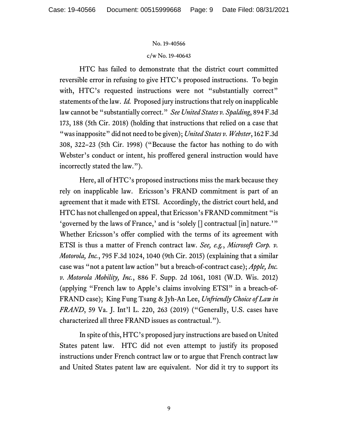#### c/w No. 19-40643

HTC has failed to demonstrate that the district court committed reversible error in refusing to give HTC's proposed instructions. To begin with, HTC's requested instructions were not "substantially correct" statements of the law. *Id.* Proposed jury instructions that rely on inapplicable law cannot be "substantially correct." *See United States v. Spalding*, 894 F.3d 173, 188 (5th Cir. 2018) (holding that instructions that relied on a case that "was inapposite" did not need to be given); *United States v. Webster*, 162 F.3d 308, 322–23 (5th Cir. 1998) ("Because the factor has nothing to do with Webster's conduct or intent, his proffered general instruction would have incorrectly stated the law.").

Here, all of HTC's proposed instructions miss the mark because they rely on inapplicable law. Ericsson's FRAND commitment is part of an agreement that it made with ETSI. Accordingly, the district court held, and HTC has not challenged on appeal, that Ericsson's FRAND commitment "is 'governed by the laws of France,' and is 'solely [] contractual [in] nature.'" Whether Ericsson's offer complied with the terms of its agreement with ETSI is thus a matter of French contract law. *See, e.g.*, *Microsoft Corp. v. Motorola, Inc.*, 795 F.3d 1024, 1040 (9th Cir. 2015) (explaining that a similar case was "not a patent law action" but a breach-of-contract case); *Apple, Inc. v. Motorola Mobility, Inc.*, 886 F. Supp. 2d 1061, 1081 (W.D. Wis. 2012) (applying "French law to Apple's claims involving ETSI" in a breach-of-FRAND case); King Fung Tsang & Jyh-An Lee, *Unfriendly Choice of Law in FRAND*, 59 Va. J. Int'l L. 220, 263 (2019) ("Generally, U.S. cases have characterized all three FRAND issues as contractual.").

In spite of this, HTC's proposed jury instructions are based on United States patent law. HTC did not even attempt to justify its proposed instructions under French contract law or to argue that French contract law and United States patent law are equivalent. Nor did it try to support its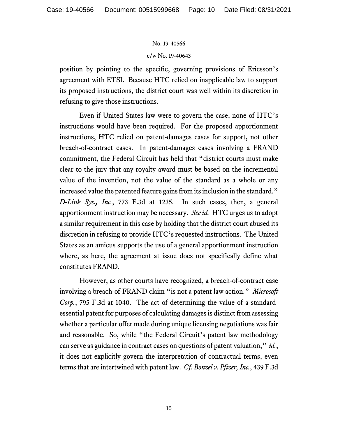## c/w No. 19-40643

position by pointing to the specific, governing provisions of Ericsson's agreement with ETSI. Because HTC relied on inapplicable law to support its proposed instructions, the district court was well within its discretion in refusing to give those instructions.

Even if United States law were to govern the case, none of HTC's instructions would have been required. For the proposed apportionment instructions, HTC relied on patent-damages cases for support, not other breach-of-contract cases. In patent-damages cases involving a FRAND commitment, the Federal Circuit has held that "district courts must make clear to the jury that any royalty award must be based on the incremental value of the invention, not the value of the standard as a whole or any increased value the patented feature gains from its inclusion in the standard." *D-Link Sys., Inc.*, 773 F.3d at 1235. In such cases, then, a general apportionment instruction may be necessary. *See id.* HTC urges us to adopt a similar requirement in this case by holding that the district court abused its discretion in refusing to provide HTC's requested instructions.The United States as an amicus supports the use of a general apportionment instruction where, as here, the agreement at issue does not specifically define what constitutes FRAND.

However, as other courts have recognized, a breach-of-contract case involving a breach-of-FRAND claim "is not a patent law action." *Microsoft Corp.*, 795 F.3d at 1040. The act of determining the value of a standardessential patent for purposes of calculating damages is distinct from assessing whether a particular offer made during unique licensing negotiations was fair and reasonable. So, while "the Federal Circuit's patent law methodology can serve as guidance in contract cases on questions of patent valuation," *id.*, it does not explicitly govern the interpretation of contractual terms, even terms that are intertwined with patent law. *Cf. Bonzel v. Pfizer, Inc.*, 439 F.3d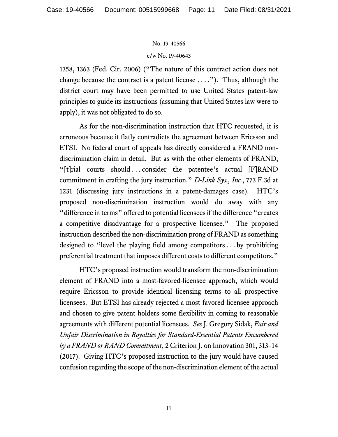## c/w No. 19-40643

1358, 1363 (Fed. Cir. 2006) ("The nature of this contract action does not change because the contract is a patent license  $\dots$ ."). Thus, although the district court may have been permitted to use United States patent-law principles to guide its instructions (assuming that United States law were to apply), it was not obligated to do so.

As for the non-discrimination instruction that HTC requested, it is erroneous because it flatly contradicts the agreement between Ericsson and ETSI. No federal court of appeals has directly considered a FRAND nondiscrimination claim in detail. But as with the other elements of FRAND, "[t]rial courts should ... consider the patentee's actual [F]RAND commitment in crafting the jury instruction." *D-Link Sys., Inc.*, 773 F.3d at 1231 (discussing jury instructions in a patent-damages case). HTC's proposed non-discrimination instruction would do away with any "difference in terms" offered to potential licensees if the difference "creates a competitive disadvantage for a prospective licensee." The proposed instruction described the non-discrimination prong of FRAND as something designed to "level the playing field among competitors . . . by prohibiting preferential treatment that imposes different costs to different competitors."

HTC's proposed instruction would transform the non-discrimination element of FRAND into a most-favored-licensee approach, which would require Ericsson to provide identical licensing terms to all prospective licensees. But ETSI has already rejected a most-favored-licensee approach and chosen to give patent holders some flexibility in coming to reasonable agreements with different potential licensees. *See* J. Gregory Sidak, *Fair and Unfair Discrimination in Royalties for Standard-Essential Patents Encumbered by a FRAND or RAND Commitment*, 2 Criterion J. on Innovation 301, 313–14 (2017). Giving HTC's proposed instruction to the jury would have caused confusion regarding the scope of the non-discrimination element of the actual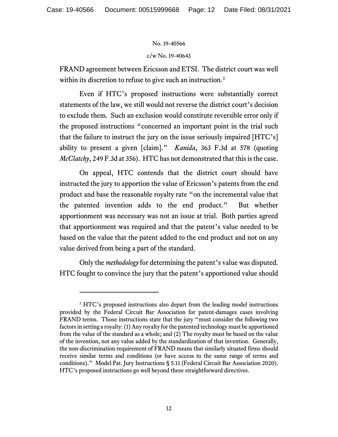#### c/w No. 19-40643

FRAND agreement between Ericsson and ETSI. The district court was well within its discretion to refuse to give such an instruction.<sup>[3](#page-28-0)</sup>

Even if HTC's proposed instructions were substantially correct statements of the law, we still would not reverse the district court's decision to exclude them. Such an exclusion would constitute reversible error only if the proposed instructions "concerned an important point in the trial such that the failure to instruct the jury on the issue seriously impaired [HTC's] ability to present a given [claim]." *Kanida*, 363 F.3d at 578 (quoting *McClatchy*, 249 F.3d at 356). HTC has not demonstrated that this is the case.

On appeal, HTC contends that the district court should have instructed the jury to apportion the value of Ericsson's patents from the end product and base the reasonable royalty rate "on the incremental value that the patented invention adds to the end product." But whether apportionment was necessary was not an issue at trial. Both parties agreed that apportionment was required and that the patent's value needed to be based on the value that the patent added to the end product and not on any value derived from being a part of the standard.

Only the *methodology* for determining the patent's value was disputed. HTC fought to convince the jury that the patent's apportioned value should

<sup>&</sup>lt;sup>3</sup> HTC's proposed instructions also depart from the leading model instructions provided by the Federal Circuit Bar Association for patent-damages cases involving FRAND terms. Those instructions state that the jury "must consider the following two factors in setting a royalty: (1) Any royalty for the patented technology must be apportioned from the value of the standard as a whole; and (2) The royalty must be based on the value of the invention, not any value added by the standardization of that invention. Generally, the non-discrimination requirement of FRAND means that similarly situated firms should receive similar terms and conditions (or have access to the same range of terms and conditions)." Model Pat. Jury Instructions § 5.11 (Federal Circuit Bar Association 2020). HTC's proposed instructions go well beyond these straightforward directives.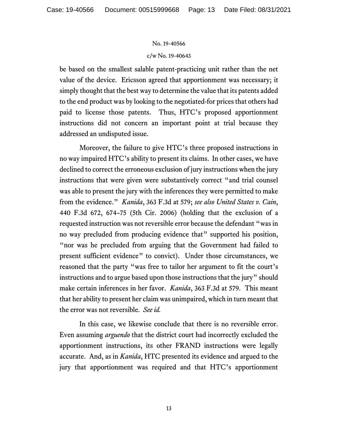#### c/w No. 19-40643

be based on the smallest salable patent-practicing unit rather than the net value of the device. Ericsson agreed that apportionment was necessary; it simply thought that the best way to determine the value that its patents added to the end product was by looking to the negotiated-for prices that others had paid to license those patents. Thus, HTC's proposed apportionment instructions did not concern an important point at trial because they addressed an undisputed issue.

Moreover, the failure to give HTC's three proposed instructions in no way impaired HTC's ability to present its claims. In other cases, we have declined to correct the erroneous exclusion of jury instructions when the jury instructions that were given were substantively correct "and trial counsel was able to present the jury with the inferences they were permitted to make from the evidence." *Kanida*, 363 F.3d at 579; *see also United States v. Cain*, 440 F.3d 672, 674–75 (5th Cir. 2006) (holding that the exclusion of a requested instruction was not reversible error because the defendant "was in no way precluded from producing evidence that" supported his position, "nor was he precluded from arguing that the Government had failed to present sufficient evidence" to convict). Under those circumstances, we reasoned that the party "was free to tailor her argument to fit the court's instructions and to argue based upon those instructions that the jury" should make certain inferences in her favor. *Kanida*, 363 F.3d at 579. This meant that her ability to present her claim was unimpaired, which in turn meant that the error was not reversible. *See id.*

In this case, we likewise conclude that there is no reversible error. Even assuming *arguendo* that the district court had incorrectly excluded the apportionment instructions, its other FRAND instructions were legally accurate. And, as in *Kanida*, HTC presented its evidence and argued to the jury that apportionment was required and that HTC's apportionment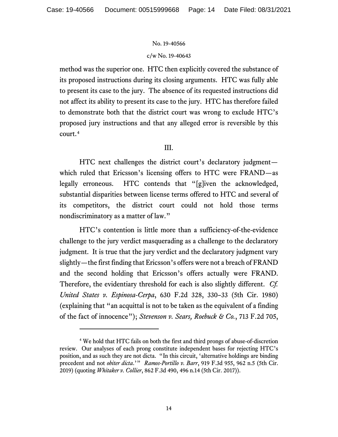## c/w No. 19-40643

method was the superior one. HTC then explicitly covered the substance of its proposed instructions during its closing arguments. HTC was fully able to present its case to the jury. The absence of its requested instructions did not affect its ability to present its case to the jury. HTC has therefore failed to demonstrate both that the district court was wrong to exclude HTC's proposed jury instructions and that any alleged error is reversible by this court. [4](#page-28-0) 

## III.

HTC next challenges the district court's declaratory judgment which ruled that Ericsson's licensing offers to HTC were FRAND—as legally erroneous. HTC contends that "[g]iven the acknowledged, substantial disparities between license terms offered to HTC and several of its competitors, the district court could not hold those terms nondiscriminatory as a matter of law."

HTC's contention is little more than a sufficiency-of-the-evidence challenge to the jury verdict masquerading as a challenge to the declaratory judgment. It is true that the jury verdict and the declaratory judgment vary slightly—the first finding that Ericsson's offers were not a breach of FRAND and the second holding that Ericsson's offers actually were FRAND. Therefore, the evidentiary threshold for each is also slightly different. *Cf. United States v. Espinosa-Cerpa*, 630 F.2d 328, 330–33 (5th Cir. 1980) (explaining that "an acquittal is not to be taken as the equivalent of a finding of the fact of innocence"); *Stevenson v. Sears, Roebuck & Co.*, 713 F.2d 705,

<sup>4</sup> We hold that HTC fails on both the first and third prongs of abuse-of-discretion review. Our analyses of each prong constitute independent bases for rejecting HTC's position, and as such they are not dicta. "In this circuit, 'alternative holdings are binding precedent and not *obiter dicta*.'" *Ramos-Portillo v. Barr*, 919 F.3d 955, 962 n.5 (5th Cir. 2019) (quoting *Whitaker v. Collier*, 862 F.3d 490, 496 n.14 (5th Cir. 2017)).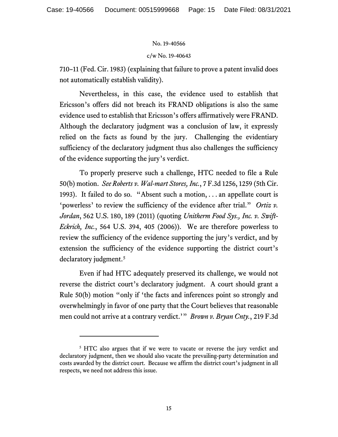## c/w No. 19-40643

710–11 (Fed. Cir. 1983) (explaining that failure to prove a patent invalid does not automatically establish validity).

Nevertheless, in this case, the evidence used to establish that Ericsson's offers did not breach its FRAND obligations is also the same evidence used to establish that Ericsson's offers affirmatively were FRAND. Although the declaratory judgment was a conclusion of law, it expressly relied on the facts as found by the jury. Challenging the evidentiary sufficiency of the declaratory judgment thus also challenges the sufficiency of the evidence supporting the jury's verdict.

To properly preserve such a challenge, HTC needed to file a Rule 50(b) motion. *See Roberts v. Wal-mart Stores, Inc.*, 7 F.3d 1256, 1259 (5th Cir. 1993). It failed to do so. "Absent such a motion, . . . an appellate court is 'powerless' to review the sufficiency of the evidence after trial." *Ortiz v. Jordan*, 562 U.S. 180, 189 (2011) (quoting *Unitherm Food Sys., Inc. v. Swift-Eckrich, Inc.*, 564 U.S. 394, 405 (2006)). We are therefore powerless to review the sufficiency of the evidence supporting the jury's verdict, and by extension the sufficiency of the evidence supporting the district court's declaratory judgment.<sup>[5](#page-28-0)</sup>

Even if had HTC adequately preserved its challenge, we would not reverse the district court's declaratory judgment. A court should grant a Rule 50(b) motion "only if 'the facts and inferences point so strongly and overwhelmingly in favor of one party that the Court believes that reasonable men could not arrive at a contrary verdict.'" *Brown v. Bryan Cnty.*, 219 F.3d

<sup>&</sup>lt;sup>5</sup> HTC also argues that if we were to vacate or reverse the jury verdict and declaratory judgment, then we should also vacate the prevailing-party determination and costs awarded by the district court. Because we affirm the district court's judgment in all respects, we need not address this issue.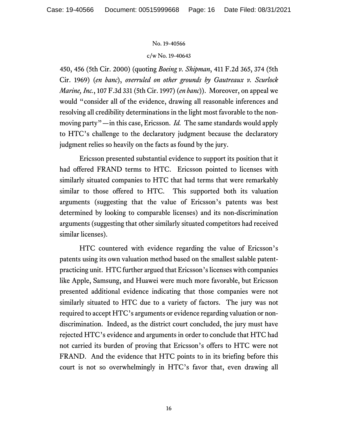#### c/w No. 19-40643

450, 456 (5th Cir. 2000) (quoting *Boeing v. Shipman*, 411 F.2d 365, 374 (5th Cir. 1969) (*en banc*), *overruled on other grounds by Gautreaux v. Scurlock Marine, Inc.*, 107 F.3d 331 (5th Cir. 1997) (*en banc*)). Moreover, on appeal we would "consider all of the evidence, drawing all reasonable inferences and resolving all credibility determinations in the light most favorable to the nonmoving party"—in this case, Ericsson. *Id.* The same standards would apply to HTC's challenge to the declaratory judgment because the declaratory judgment relies so heavily on the facts as found by the jury.

Ericsson presented substantial evidence to support its position that it had offered FRAND terms to HTC. Ericsson pointed to licenses with similarly situated companies to HTC that had terms that were remarkably similar to those offered to HTC. This supported both its valuation arguments (suggesting that the value of Ericsson's patents was best determined by looking to comparable licenses) and its non-discrimination arguments (suggesting that other similarly situated competitors had received similar licenses).

HTC countered with evidence regarding the value of Ericsson's patents using its own valuation method based on the smallest salable patentpracticing unit.HTC further argued that Ericsson's licenses with companies like Apple, Samsung, and Huawei were much more favorable, but Ericsson presented additional evidence indicating that those companies were not similarly situated to HTC due to a variety of factors.The jury was not required to accept HTC's arguments or evidence regarding valuation or nondiscrimination. Indeed, as the district court concluded, the jury must have rejected HTC's evidence and arguments in order to conclude that HTC had not carried its burden of proving that Ericsson's offers to HTC were not FRAND. And the evidence that HTC points to in its briefing before this court is not so overwhelmingly in HTC's favor that, even drawing all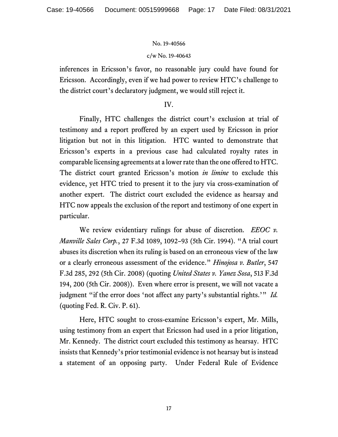## c/w No. 19-40643

inferences in Ericsson's favor, no reasonable jury could have found for Ericsson. Accordingly, even if we had power to review HTC's challenge to the district court's declaratory judgment, we would still reject it.

## IV.

Finally, HTC challenges the district court's exclusion at trial of testimony and a report proffered by an expert used by Ericsson in prior litigation but not in this litigation. HTC wanted to demonstrate that Ericsson's experts in a previous case had calculated royalty rates in comparable licensing agreements at a lower rate than the one offered to HTC. The district court granted Ericsson's motion *in limine* to exclude this evidence, yet HTC tried to present it to the jury via cross-examination of another expert. The district court excluded the evidence as hearsay and HTC now appeals the exclusion of the report and testimony of one expert in particular.

We review evidentiary rulings for abuse of discretion. *EEOC v. Manville Sales Corp.*, 27 F.3d 1089, 1092–93 (5th Cir. 1994). "A trial court abuses its discretion when its ruling is based on an erroneous view of the law or a clearly erroneous assessment of the evidence." *Hinojosa v. Butler*, 547 F.3d 285, 292 (5th Cir. 2008) (quoting *United States v. Yanez Sosa*, 513 F.3d 194, 200 (5th Cir. 2008)). Even where error is present, we will not vacate a judgment "if the error does 'not affect any party's substantial rights.'" *Id.* (quoting Fed. R. Civ. P. 61).

Here, HTC sought to cross-examine Ericsson's expert, Mr. Mills, using testimony from an expert that Ericsson had used in a prior litigation, Mr. Kennedy. The district court excluded this testimony as hearsay. HTC insists that Kennedy's prior testimonial evidence is not hearsay but is instead a statement of an opposing party. Under Federal Rule of Evidence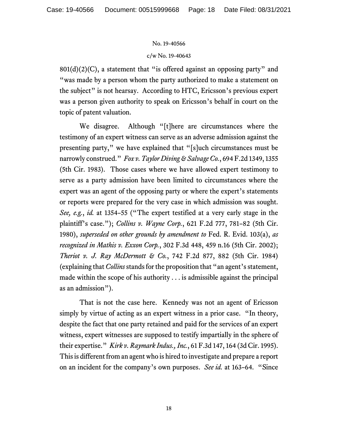## c/w No. 19-40643

 $801(d)(2)(C)$ , a statement that "is offered against an opposing party" and "was made by a person whom the party authorized to make a statement on the subject" is not hearsay. According to HTC, Ericsson's previous expert was a person given authority to speak on Ericsson's behalf in court on the topic of patent valuation.

We disagree. Although "[t]here are circumstances where the testimony of an expert witness can serve as an adverse admission against the presenting party," we have explained that "[s]uch circumstances must be narrowly construed." *Fox v. Taylor Diving & Salvage Co.*, 694 F.2d 1349, 1355 (5th Cir. 1983). Those cases where we have allowed expert testimony to serve as a party admission have been limited to circumstances where the expert was an agent of the opposing party or where the expert's statements or reports were prepared for the very case in which admission was sought. *See, e.g.*, *id.* at 1354–55 ("The expert testified at a very early stage in the plaintiff's case."); *Collins v. Wayne Corp.*, 621 F.2d 777, 781–82 (5th Cir. 1980), *superseded on other grounds by amendment to* Fed. R. Evid. 103(a), *as recognized in Mathis v. Exxon Corp.*, 302 F.3d 448, 459 n.16 (5th Cir. 2002); *Theriot v. J. Ray McDermott & Co.*, 742 F.2d 877, 882 (5th Cir. 1984) (explaining that *Collins*stands for the proposition that "an agent's statement, made within the scope of his authority . . . is admissible against the principal as an admission").

That is not the case here. Kennedy was not an agent of Ericsson simply by virtue of acting as an expert witness in a prior case. "In theory, despite the fact that one party retained and paid for the services of an expert witness, expert witnesses are supposed to testify impartially in the sphere of their expertise." *Kirk v. Raymark Indus., Inc.*, 61 F.3d 147, 164 (3d Cir. 1995). This is different from an agent who is hired to investigate and prepare a report on an incident for the company's own purposes. *See id.* at 163–64. "Since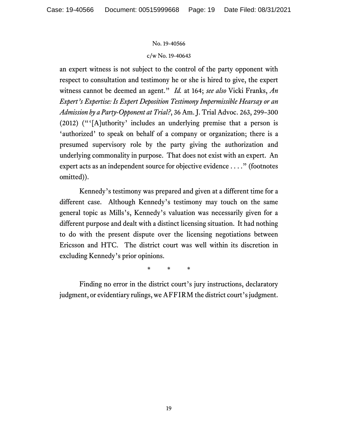#### c/w No. 19-40643

an expert witness is not subject to the control of the party opponent with respect to consultation and testimony he or she is hired to give, the expert witness cannot be deemed an agent." *Id.* at 164; *see also* Vicki Franks, *An Expert's Expertise: Is Expert Deposition Testimony Impermissible Hearsay or an Admission by a Party-Opponent at Trial?*, 36 Am. J. Trial Advoc. 263, 299–300 (2012) ("'[A]uthority' includes an underlying premise that a person is 'authorized' to speak on behalf of a company or organization; there is a presumed supervisory role by the party giving the authorization and underlying commonality in purpose. That does not exist with an expert. An expert acts as an independent source for objective evidence . . . ." (footnotes omitted)).

Kennedy's testimony was prepared and given at a different time for a different case. Although Kennedy's testimony may touch on the same general topic as Mills's, Kennedy's valuation was necessarily given for a different purpose and dealt with a distinct licensing situation. It had nothing to do with the present dispute over the licensing negotiations between Ericsson and HTC. The district court was well within its discretion in excluding Kennedy's prior opinions.

\* \* \*

Finding no error in the district court's jury instructions, declaratory judgment, or evidentiary rulings, we AFFIRM the district court's judgment.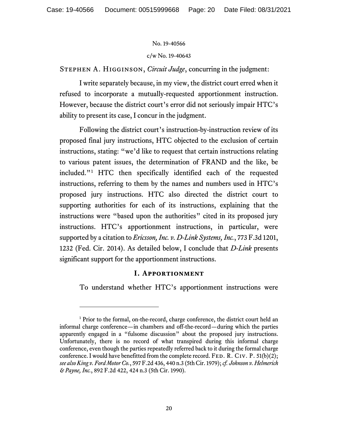c/w No. 19-40643

Stephen A. Higginson, *Circuit Judge*, concurring in the judgment:

I write separately because, in my view, the district court erred when it refused to incorporate a mutually-requested apportionment instruction. However, because the district court's error did not seriously impair HTC's ability to present its case, I concur in the judgment.

Following the district court's instruction-by-instruction review of its proposed final jury instructions, HTC objected to the exclusion of certain instructions, stating: "we'd like to request that certain instructions relating to various patent issues, the determination of FRAND and the like, be included."[1](#page-28-0) HTC then specifically identified each of the requested instructions, referring to them by the names and numbers used in HTC's proposed jury instructions. HTC also directed the district court to supporting authorities for each of its instructions, explaining that the instructions were "based upon the authorities" cited in its proposed jury instructions. HTC's apportionment instructions, in particular, were supported by a citation to *Ericsson, Inc. v. D-Link Systems, Inc.*, 773 F.3d 1201, 1232 (Fed. Cir. 2014). As detailed below, I conclude that *D-Link* presents significant support for the apportionment instructions.

## **I. Apportionment**

To understand whether HTC's apportionment instructions were

<sup>&</sup>lt;sup>1</sup> Prior to the formal, on-the-record, charge conference, the district court held an informal charge conference—in chambers and off-the-record—during which the parties apparently engaged in a "fulsome discussion" about the proposed jury instructions. Unfortunately, there is no record of what transpired during this informal charge conference, even though the parties repeatedly referred back to it during the formal charge conference. I would have benefitted from the complete record. FED. R. CIV. P.  $51(b)(2)$ ; *see also King v. Ford Motor Co.*, 597 F.2d 436, 440 n.3 (5th Cir. 1979); *cf. Johnson v. Helmerich & Payne, Inc.*, 892 F.2d 422, 424 n.3 (5th Cir. 1990).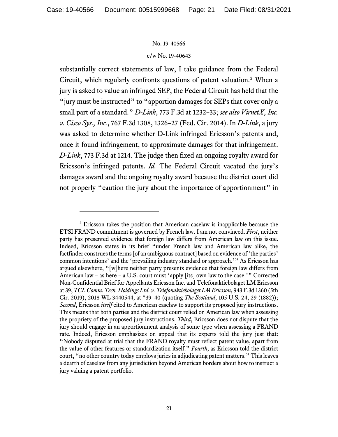#### c/w No. 19-40643

substantially correct statements of law, I take guidance from the Federal Circuit, which regularly confronts questions of patent valuation.[2](#page-28-0) When a jury is asked to value an infringed SEP, the Federal Circuit has held that the "jury must be instructed" to "apportion damages for SEPs that cover only a small part of a standard." *D-Link*, 773 F.3d at 1232–33; *see also VirnetX, Inc. v. Cisco Sys., Inc.*, 767 F.3d 1308, 1326–27 (Fed. Cir. 2014). In *D-Link*, a jury was asked to determine whether D-Link infringed Ericsson's patents and, once it found infringement, to approximate damages for that infringement. *D-Link*, 773 F.3d at 1214. The judge then fixed an ongoing royalty award for Ericsson's infringed patents. *Id.* The Federal Circuit vacated the jury's damages award and the ongoing royalty award because the district court did not properly "caution the jury about the importance of apportionment" in

<sup>2</sup> Ericsson takes the position that American caselaw is inapplicable because the ETSI FRAND commitment is governed by French law. I am not convinced. *First*, neither party has presented evidence that foreign law differs from American law on this issue. Indeed, Ericsson states in its brief "under French law and American law alike, the factfinder construes the terms [of an ambiguous contract] based on evidence of 'the parties' common intentions' and the 'prevailing industry standard or approach.'" As Ericsson has argued elsewhere, "[w]here neither party presents evidence that foreign law differs from American law – as here – a U.S. court must 'apply [its] own law to the case.'" Corrected Non-Confidential Brief for Appellants Ericsson Inc. and Telefonaktiebolaget LM Ericsson at 39, *TCL Comm. Tech. Holdings Ltd. v. Telefonaktiebolaget LM Ericsson*, 943 F.3d 1360 (5th Cir. 2019), 2018 WL 3440544, at \*39–40 (quoting *The Scotland*, 105 U.S. 24, 29 (1882)); *Second*, Ericsson *itself* cited to American caselaw to support its proposed jury instructions. This means that both parties and the district court relied on American law when assessing the propriety of the proposed jury instructions. *Third*, Ericsson does not dispute that the jury should engage in an apportionment analysis of some type when assessing a FRAND rate. Indeed, Ericsson emphasizes on appeal that its experts told the jury just that: "Nobody disputed at trial that the FRAND royalty must reflect patent value, apart from the value of other features or standardization itself." *Fourth*, as Ericsson told the district court, "no other country today employs juries in adjudicating patent matters." This leaves a dearth of caselaw from any jurisdiction beyond American borders about how to instruct a jury valuing a patent portfolio.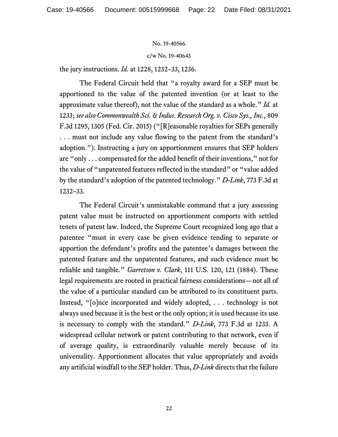c/w No. 19-40643

the jury instructions. *Id.* at 1228, 1232–33, 1236.

The Federal Circuit held that "a royalty award for a SEP must be apportioned to the value of the patented invention (or at least to the approximate value thereof), not the value of the standard as a whole." *Id.* at 1233; *see also Commonwealth Sci. & Indus. Research Org. v. Cisco Sys., Inc.*, 809 F.3d 1295, 1305 (Fed. Cir. 2015) ("[R]easonable royalties for SEPs generally . . . must not include any value flowing to the patent from the standard's adoption."). Instructing a jury on apportionment ensures that SEP holders are "only . . . compensated for the added benefit of their inventions," not for the value of "unpatented features reflected in the standard" or "value added by the standard's adoption of the patented technology." *D-Link*, 773 F.3d at 1232–33.

The Federal Circuit's unmistakable command that a jury assessing patent value must be instructed on apportionment comports with settled tenets of patent law. Indeed, the Supreme Court recognized long ago that a patentee "must in every case be given evidence tending to separate or apportion the defendant's profits and the patentee's damages between the patented feature and the unpatented features, and such evidence must be reliable and tangible." *Garretson v. Clark*, 111 U.S. 120, 121 (1884). These legal requirements are rooted in practical fairness considerations—not all of the value of a particular standard can be attributed to its constituent parts. Instead, "[o]nce incorporated and widely adopted, . . . technology is not always used because it is the best or the only option; it is used because its use is necessary to comply with the standard." *D-Link*, 773 F.3d at 1233. A widespread cellular network or patent contributing to that network, even if of average quality, is extraordinarily valuable merely because of its universality. Apportionment allocates that value appropriately and avoids any artificial windfall to the SEP holder. Thus, *D-Link* directs that the failure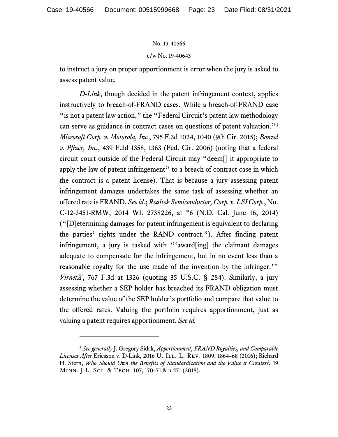#### c/w No. 19-40643

to instruct a jury on proper apportionment is error when the jury is asked to assess patent value.

*D-Link*, though decided in the patent infringement context, applies instructively to breach-of-FRAND cases. While a breach-of-FRAND case " is not a patent law action," the "Federal Circuit's patent law methodology can serve as guidance in contract cases on questions of patent valuation."[3](#page-28-0) *Microsoft Corp. v. Motorola, Inc.*, 795 F.3d 1024, 1040 (9th Cir. 2015); *Bonzel v. Pfizer, Inc.*, 439 F.3d 1358, 1363 (Fed. Cir. 2006) (noting that a federal circuit court outside of the Federal Circuit may "deem[] it appropriate to apply the law of patent infringement" to a breach of contract case in which the contract is a patent license). That is because a jury assessing patent infringement damages undertakes the same task of assessing whether an offered rate is FRAND. *See id.*; *Realtek Semiconductor, Corp. v. LSI Corp.*, No. C-12-3451-RMW, 2014 WL 2738226, at \*6 (N.D. Cal. June 16, 2014) ("[D]etermining damages for patent infringement is equivalent to declaring the parties' rights under the RAND contract."). After finding patent infringement, a jury is tasked with "'award[ing] the claimant damages adequate to compensate for the infringement, but in no event less than a reasonable royalty for the use made of the invention by the infringer.'" *VirnetX*, 767 F.3d at 1326 (quoting 35 U.S.C. § 284). Similarly, a jury assessing whether a SEP holder has breached its FRAND obligation must determine the value of the SEP holder's portfolio and compare that value to the offered rates. Valuing the portfolio requires apportionment, just as valuing a patent requires apportionment. *See id.*

<sup>3</sup> *See generally* J. Gregory Sidak, *Apportionment, FRAND Royalties, and Comparable*  Licenses After Ericsson v. D-Link, 2016 U. ILL. L. REV. 1809, 1864-68 (2016); Richard H. Stern, *Who Should Own the Benefits of Standardization and the Value it Creates?*, 19 Minn. J.L. Sci. & Tech. 107, 170–71 & n.271 (2018).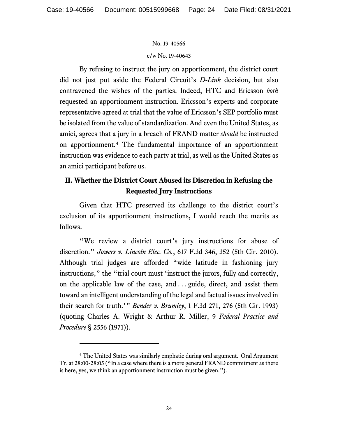#### c/w No. 19-40643

By refusing to instruct the jury on apportionment, the district court did not just put aside the Federal Circuit's *D-Link* decision, but also contravened the wishes of the parties. Indeed, HTC and Ericsson *both* requested an apportionment instruction. Ericsson's experts and corporate representative agreed at trial that the value of Ericsson's SEP portfolio must be isolated from the value of standardization. And even the United States, as amici, agrees that a jury in a breach of FRAND matter *should* be instructed on apportionment.[4](#page-28-0) The fundamental importance of an apportionment instruction was evidence to each party at trial, as well as the United States as an amici participant before us.

## **II. Whether the District Court Abused its Discretion in Refusing the Requested Jury Instructions**

Given that HTC preserved its challenge to the district court's exclusion of its apportionment instructions, I would reach the merits as follows.

"We review a district court's jury instructions for abuse of discretion." *Jowers v. Lincoln Elec. Co.*, 617 F.3d 346, 352 (5th Cir. 2010). Although trial judges are afforded "wide latitude in fashioning jury instructions," the "trial court must 'instruct the jurors, fully and correctly, on the applicable law of the case, and . . . guide, direct, and assist them toward an intelligent understanding of the legal and factual issues involved in their search for truth.'" *Bender v. Brumley*, 1 F.3d 271, 276 (5th Cir. 1993) (quoting Charles A. Wright & Arthur R. Miller, 9 *Federal Practice and Procedure* § 2556 (1971)).

<sup>4</sup> The United States was similarly emphatic during oral argument. Oral Argument Tr. at 28:00-28:05 ("In a case where there is a more general FRAND commitment as there is here, yes, we think an apportionment instruction must be given.").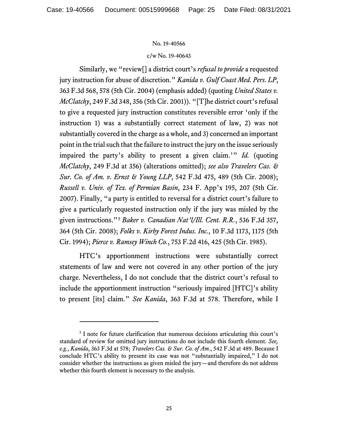#### c/w No. 19-40643

Similarly, we "review[] a district court's *refusal to provide* a requested jury instruction for abuse of discretion." *Kanida v. Gulf Coast Med. Pers. LP*, 363 F.3d 568, 578 (5th Cir. 2004) (emphasis added) (quoting *United States v. McClatchy*, 249 F.3d 348, 356 (5th Cir. 2001)). "[T]he district court's refusal to give a requested jury instruction constitutes reversible error 'only if the instruction 1) was a substantially correct statement of law, 2) was not substantially covered in the charge as a whole, and 3) concerned an important point in the trial such that the failure to instruct the jury on the issue seriously impaired the party's ability to present a given claim.'" *Id.* (quoting *McClatchy*, 249 F.3d at 356) (alterations omitted); *see also Travelers Cas. & Sur. Co. of Am. v. Ernst & Young LLP*, 542 F.3d 475, 489 (5th Cir. 2008); *Russell v. Univ. of Tex. of Permian Basin*, 234 F. App'x 195, 207 (5th Cir. 2007). Finally, "a party is entitled to reversal for a district court's failure to give a particularly requested instruction only if the jury was misled by the given instructions."[5](#page-28-0) *Baker v. Canadian Nat'l/Ill. Cent. R.R.*, 536 F.3d 357, 364 (5th Cir. 2008); *Folks v. Kirby Forest Indus. Inc.*, 10 F.3d 1173, 1175 (5th Cir. 1994); *Pierce v. Ramsey Winch Co.*, 753 F.2d 416, 425 (5th Cir. 1985).

HTC's apportionment instructions were substantially correct statements of law and were not covered in any other portion of the jury charge. Nevertheless, I do not conclude that the district court's refusal to include the apportionment instruction "seriously impaired [HTC]'s ability to present [its] claim." *See Kanida*, 363 F.3d at 578. Therefore, while I

<sup>&</sup>lt;sup>5</sup> I note for future clarification that numerous decisions articulating this court's standard of review for omitted jury instructions do not include this fourth element. *See, e.g.*, *Kanida*, 363 F.3d at 578; *Travelers Cas. & Sur. Co. of Am.*, 542 F.3d at 489. Because I conclude HTC's ability to present its case was not "substantially impaired," I do not consider whether the instructions as given misled the jury—and therefore do not address whether this fourth element is necessary to the analysis.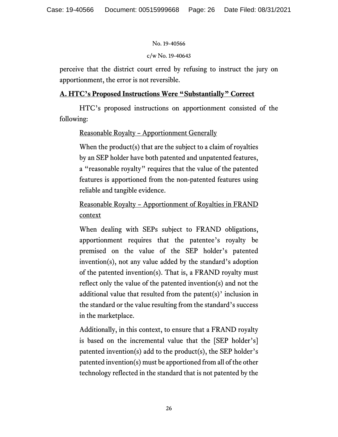## c/w No. 19-40643

perceive that the district court erred by refusing to instruct the jury on apportionment, the error is not reversible.

## **A. HTC's Proposed Instructions Were "Substantially" Correct**

HTC's proposed instructions on apportionment consisted of the following:

## Reasonable Royalty – Apportionment Generally

When the product(s) that are the subject to a claim of royalties by an SEP holder have both patented and unpatented features, a "reasonable royalty" requires that the value of the patented features is apportioned from the non-patented features using reliable and tangible evidence.

Reasonable Royalty – Apportionment of Royalties in FRAND context

When dealing with SEPs subject to FRAND obligations, apportionment requires that the patentee's royalty be premised on the value of the SEP holder's patented invention(s), not any value added by the standard's adoption of the patented invention(s). That is, a FRAND royalty must reflect only the value of the patented invention(s) and not the additional value that resulted from the patent(s)' inclusion in the standard or the value resulting from the standard's success in the marketplace.

Additionally, in this context, to ensure that a FRAND royalty is based on the incremental value that the [SEP holder's] patented invention(s) add to the product(s), the SEP holder's patented invention(s) must be apportioned from all of the other technology reflected in the standard that is not patented by the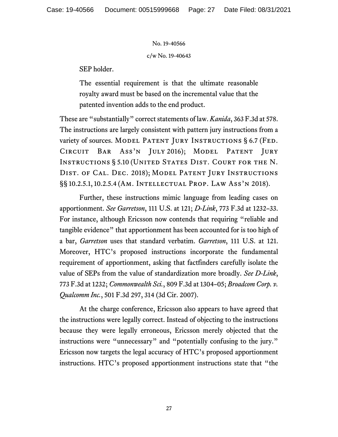c/w No. 19-40643

SEP holder.

The essential requirement is that the ultimate reasonable royalty award must be based on the incremental value that the patented invention adds to the end product.

These are "substantially" correct statements of law. *Kanida*, 363 F.3d at 578. The instructions are largely consistent with pattern jury instructions from a variety of sources. MODEL PATENT JURY INSTRUCTIONS § 6.7 (FED. Circuit Bar Ass'n July 2016); Model Patent Jury INSTRUCTIONS § 5.10 (UNITED STATES DIST. COURT FOR THE N. DIST. OF CAL. DEC. 2018); MODEL PATENT JURY INSTRUCTIONS §§ 10.2.5.1, 10.2.5.4 (Am. Intellectual Prop. Law Ass'n 2018).

Further, these instructions mimic language from leading cases on apportionment. *See Garretson*, 111 U.S. at 121; *D-Link*, 773 F.3d at 1232–33. For instance, although Ericsson now contends that requiring "reliable and tangible evidence" that apportionment has been accounted for is too high of a bar, *Garretson* uses that standard verbatim. *Garretson*, 111 U.S. at 121. Moreover, HTC's proposed instructions incorporate the fundamental requirement of apportionment, asking that factfinders carefully isolate the value of SEPs from the value of standardization more broadly. *See D-Link*, 773 F.3d at 1232; *Commonwealth Sci.*, 809 F.3d at 1304–05; *Broadcom Corp. v. Qualcomm Inc.*, 501 F.3d 297, 314 (3d Cir. 2007).

At the charge conference, Ericsson also appears to have agreed that the instructions were legally correct. Instead of objecting to the instructions because they were legally erroneous, Ericsson merely objected that the instructions were "unnecessary" and "potentially confusing to the jury." Ericsson now targets the legal accuracy of HTC's proposed apportionment instructions. HTC's proposed apportionment instructions state that "the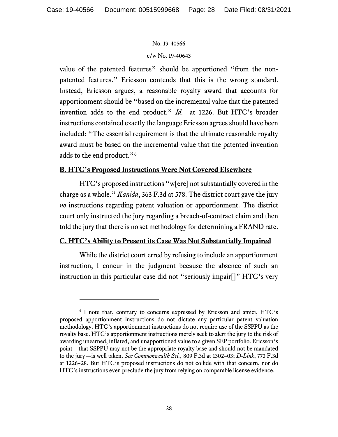## c/w No. 19-40643

value of the patented features" should be apportioned "from the nonpatented features." Ericsson contends that this is the wrong standard. Instead, Ericsson argues, a reasonable royalty award that accounts for apportionment should be "based on the incremental value that the patented invention adds to the end product." *Id.* at 1226. But HTC's broader instructions contained exactly the language Ericsson agrees should have been included: "The essential requirement is that the ultimate reasonable royalty award must be based on the incremental value that the patented invention adds to the end product."<sup>[6](#page-28-0)</sup>

## **B. HTC's Proposed Instructions Were Not Covered Elsewhere**

HTC's proposed instructions "w[ere] not substantially covered in the charge as a whole." *Kanida*, 363 F.3d at 578. The district court gave the jury *no* instructions regarding patent valuation or apportionment. The district court only instructed the jury regarding a breach-of-contract claim and then told the jury that there is no set methodology for determining a FRAND rate.

## **C. HTC's Ability to Present its Case Was Not Substantially Impaired**

While the district court erred by refusing to include an apportionment instruction, I concur in the judgment because the absence of such an instruction in this particular case did not "seriously impair[]" HTC's very

<sup>6</sup> I note that, contrary to concerns expressed by Ericsson and amici, HTC's proposed apportionment instructions do not dictate any particular patent valuation methodology. HTC's apportionment instructions do not require use of the SSPPU as the royalty base. HTC's apportionment instructions merely seek to alert the jury to the risk of awarding unearned, inflated, and unapportioned value to a given SEP portfolio. Ericsson's point—that SSPPU may not be the appropriate royalty base and should not be mandated to the jury—is well taken. *See Commonwealth Sci.*, 809 F.3d at 1302–03; *D-Link*, 773 F.3d at 1226–28. But HTC's proposed instructions do not collide with that concern, nor do HTC's instructions even preclude the jury from relying on comparable license evidence.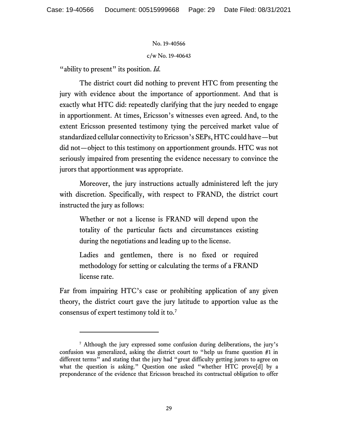c/w No. 19-40643

"ability to present" its position. *Id.* 

The district court did nothing to prevent HTC from presenting the jury with evidence about the importance of apportionment. And that is exactly what HTC did: repeatedly clarifying that the jury needed to engage in apportionment. At times, Ericsson's witnesses even agreed. And, to the extent Ericsson presented testimony tying the perceived market value of standardized cellular connectivity to Ericsson's SEPs, HTC could have—but did not—object to this testimony on apportionment grounds. HTC was not seriously impaired from presenting the evidence necessary to convince the jurors that apportionment was appropriate.

Moreover, the jury instructions actually administered left the jury with discretion. Specifically, with respect to FRAND, the district court instructed the jury as follows:

Whether or not a license is FRAND will depend upon the totality of the particular facts and circumstances existing during the negotiations and leading up to the license.

Ladies and gentlemen, there is no fixed or required methodology for setting or calculating the terms of a FRAND license rate.

Far from impairing HTC's case or prohibiting application of any given theory, the district court gave the jury latitude to apportion value as the consensus of expert testimony told it to.[7](#page-28-0)

<span id="page-28-0"></span><sup>7</sup> Although the jury expressed some confusion during deliberations, the jury's confusion was generalized, asking the district court to "help us frame question #1 in different terms" and stating that the jury had "great difficulty getting jurors to agree on what the question is asking." Question one asked "whether HTC prove[d] by a preponderance of the evidence that Ericsson breached its contractual obligation to offer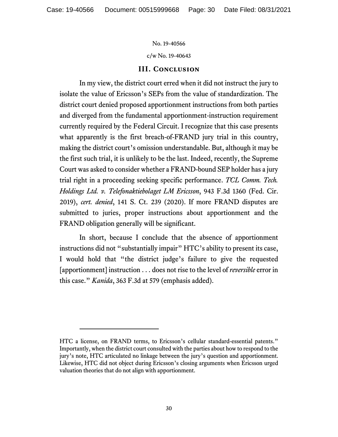c/w No. 19-40643

## **III. Conclusion**

In my view, the district court erred when it did not instruct the jury to isolate the value of Ericsson's SEPs from the value of standardization. The district court denied proposed apportionment instructions from both parties and diverged from the fundamental apportionment-instruction requirement currently required by the Federal Circuit. I recognize that this case presents what apparently is the first breach-of-FRAND jury trial in this country, making the district court's omission understandable. But, although it may be the first such trial, it is unlikely to be the last. Indeed, recently, the Supreme Court was asked to consider whether a FRAND-bound SEP holder has a jury trial right in a proceeding seeking specific performance. *TCL Comm. Tech. Holdings Ltd. v. Telefonaktiebolaget LM Ericsson*, 943 F.3d 1360 (Fed. Cir. 2019), *cert. denied*, 141 S. Ct. 239 (2020). If more FRAND disputes are submitted to juries, proper instructions about apportionment and the FRAND obligation generally will be significant.

In short, because I conclude that the absence of apportionment instructions did not "substantially impair" HTC's ability to present its case, I would hold that "the district judge's failure to give the requested [apportionment] instruction . . . does not rise to the level of *reversible* error in this case." *Kanida*, 363 F.3d at 579 (emphasis added).

HTC a license, on FRAND terms, to Ericsson's cellular standard-essential patents." Importantly, when the district court consulted with the parties about how to respond to the jury's note, HTC articulated no linkage between the jury's question and apportionment. Likewise, HTC did not object during Ericsson's closing arguments when Ericsson urged valuation theories that do not align with apportionment.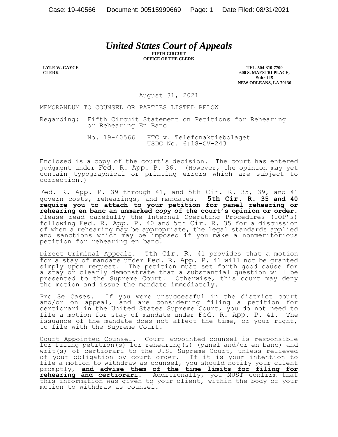# *United States Court of Appeals*

**FIFTH CIRCUIT OFFICE OF THE CLERK**

**LYLE W. CAYCE CLERK**

**TEL. 504-310-7700 600 S. MAESTRI PLACE, Suite 115 NEW ORLEANS, LA 70130**

August 31, 2021

MEMORANDUM TO COUNSEL OR PARTIES LISTED BELOW

Regarding: Fifth Circuit Statement on Petitions for Rehearing or Rehearing En Banc

> No. 19-40566 HTC v. Telefonaktiebolaget USDC No. 6:18-CV-243

Enclosed is a copy of the court's decision. The court has entered judgment under Fed. R. App. P. 36. (However, the opinion may yet contain typographical or printing errors which are subject to correction.)

Fed. R. App. P. 39 through 41, and 5th Cir. R. 35, 39, and 41 govern costs, rehearings, and mandates. **5th Cir. R. 35 and 40 require you to attach to your petition for panel rehearing or rehearing en banc an unmarked copy of the court's opinion or order.** Please read carefully the Internal Operating Procedures (IOP's) following Fed. R. App. P. 40 and 5th Cir. R. 35 for a discussion of when a rehearing may be appropriate, the legal standards applied and sanctions which may be imposed if you make a nonmeritorious petition for rehearing en banc.

Direct Criminal Appeals. 5th Cir. R. 41 provides that a motion for a stay of mandate under Fed. R. App. P. 41 will not be granted simply upon request. The petition must set forth good cause for a stay or clearly demonstrate that a substantial question will be presented to the Supreme Court. Otherwise, this court may deny the motion and issue the mandate immediately.

Pro Se Cases. If you were unsuccessful in the district court and/or on appeal, and are considering filing a petition for certiorari in the United States Supreme Court, you do not need to file a motion for stay of mandate under Fed. R. App. P. 41. The issuance of the mandate does not affect the time, or your right, to file with the Supreme Court.

Court Appointed Counsel. Court appointed counsel is responsible for filing petition(s) for rehearing(s) (panel and/or en banc) and writ(s) of certiorari to the U.S. Supreme Court, unless relieved of your obligation by court order. If it is your intention to file a motion to withdraw as counsel, you should notify your client promptly, **and advise them of the time limits for filing for rehearing and certiorari**. Additionally, you MUST confirm that this information was given to your client, within the body of your motion to withdraw as counsel.